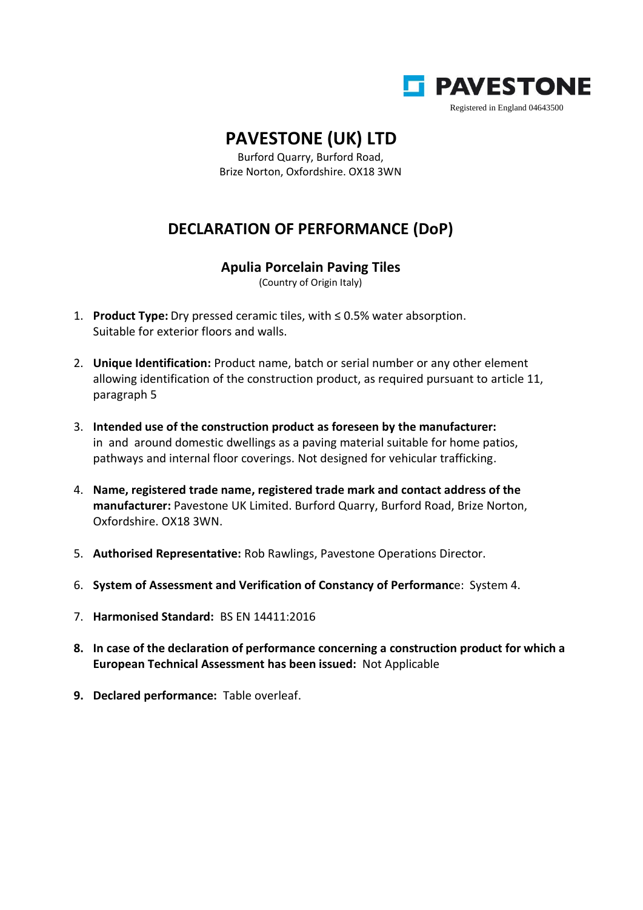

## **PAVESTONE (UK) LTD**

Burford Quarry, Burford Road, Brize Norton, Oxfordshire. OX18 3WN

## **DECLARATION OF PERFORMANCE (DoP)**

## **Apulia Porcelain Paving Tiles**

(Country of Origin Italy)

- 1. **Product Type:** Dry pressed ceramic tiles, with ≤ 0.5% water absorption. Suitable for exterior floors and walls.
- 2. **Unique Identification:** Product name, batch or serial number or any other element allowing identification of the construction product, as required pursuant to article 11, paragraph 5
- 3. **Intended use of the construction product as foreseen by the manufacturer:** in and around domestic dwellings as a paving material suitable for home patios, pathways and internal floor coverings. Not designed for vehicular trafficking.
- 4. **Name, registered trade name, registered trade mark and contact address of the manufacturer:** Pavestone UK Limited. Burford Quarry, Burford Road, Brize Norton, Oxfordshire. OX18 3WN.
- 5. **Authorised Representative:** Rob Rawlings, Pavestone Operations Director.
- 6. **System of Assessment and Verification of Constancy of Performanc**e: System 4.
- 7. **Harmonised Standard:** BS EN 14411:2016
- **8. In case of the declaration of performance concerning a construction product for which a European Technical Assessment has been issued:** Not Applicable
- **9. Declared performance:** Table overleaf.